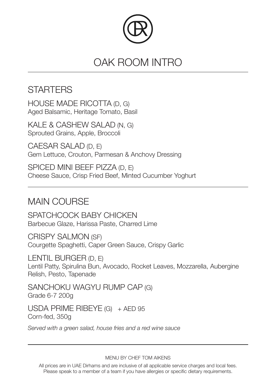

## OAK ROOM INTRO

## **STARTERS**

HOUSE MADE RICOTTA (D, G) Aged Balsamic, Heritage Tomato, Basil

KALE & CASHEW SALAD (N, G) Sprouted Grains, Apple, Broccoli

CAESAR SALAD (D, E) Gem Lettuce, Crouton, Parmesan & Anchovy Dressing

SPICED MINI BEEF PIZZA (D, E) Cheese Sauce, Crisp Fried Beef, Minted Cucumber Yoghurt

## MAIN COURSE

SPATCHCOCK BABY CHICKEN Barbecue Glaze, Harissa Paste, Charred Lime

CRISPY SALMON (SF) Courgette Spaghetti, Caper Green Sauce, Crispy Garlic

LENTIL BURGER (D, E) Lentil Patty, Spirulina Bun, Avocado, Rocket Leaves, Mozzarella, Aubergine Relish, Pesto, Tapenade

SANCHOKU WAGYU RUMP CAP (G) Grade 6-7 200g

USDA PRIME RIBEYE (G) + AED 95 Corn-fed, 350g

*Served with a green salad, house fries and a red wine sauce*

MENU BY CHEF TOM AIKENS

All prices are in UAE Dirhams and are inclusive of all applicable service charges and local fees. Please speak to a member of a team if you have allergies or specific dietary requirements.